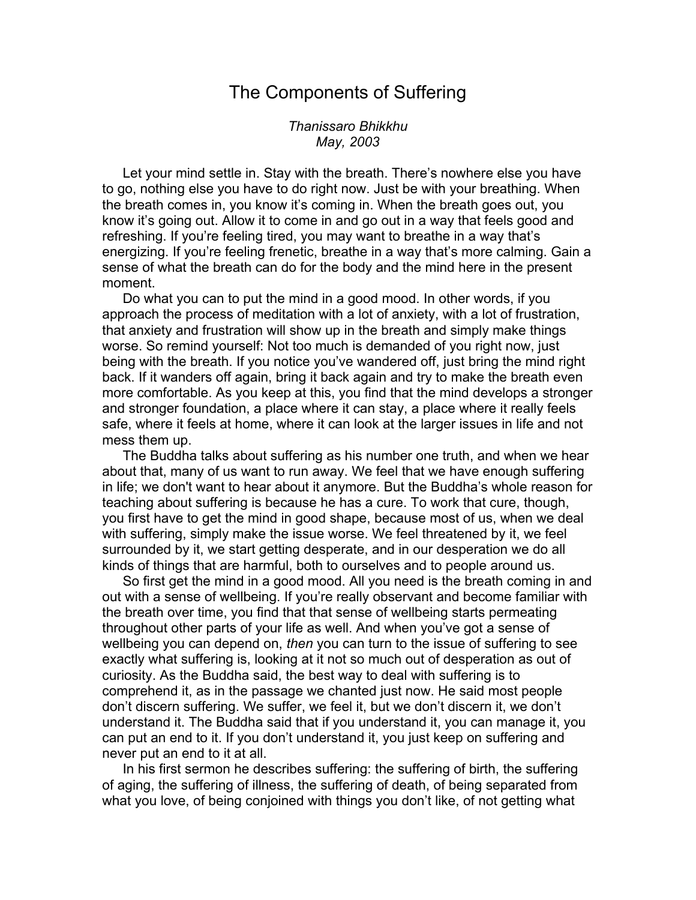## The Components of Suffering

## *Thanissaro Bhikkhu May, 2003*

Let your mind settle in. Stay with the breath. There's nowhere else you have to go, nothing else you have to do right now. Just be with your breathing. When the breath comes in, you know it's coming in. When the breath goes out, you know it's going out. Allow it to come in and go out in a way that feels good and refreshing. If you're feeling tired, you may want to breathe in a way that's energizing. If you're feeling frenetic, breathe in a way that's more calming. Gain a sense of what the breath can do for the body and the mind here in the present moment.

Do what you can to put the mind in a good mood. In other words, if you approach the process of meditation with a lot of anxiety, with a lot of frustration, that anxiety and frustration will show up in the breath and simply make things worse. So remind yourself: Not too much is demanded of you right now, just being with the breath. If you notice you've wandered off, just bring the mind right back. If it wanders off again, bring it back again and try to make the breath even more comfortable. As you keep at this, you find that the mind develops a stronger and stronger foundation, a place where it can stay, a place where it really feels safe, where it feels at home, where it can look at the larger issues in life and not mess them up.

The Buddha talks about suffering as his number one truth, and when we hear about that, many of us want to run away. We feel that we have enough suffering in life; we don't want to hear about it anymore. But the Buddha's whole reason for teaching about suffering is because he has a cure. To work that cure, though, you first have to get the mind in good shape, because most of us, when we deal with suffering, simply make the issue worse. We feel threatened by it, we feel surrounded by it, we start getting desperate, and in our desperation we do all kinds of things that are harmful, both to ourselves and to people around us.

So first get the mind in a good mood. All you need is the breath coming in and out with a sense of wellbeing. If you're really observant and become familiar with the breath over time, you find that that sense of wellbeing starts permeating throughout other parts of your life as well. And when you've got a sense of wellbeing you can depend on, *then* you can turn to the issue of suffering to see exactly what suffering is, looking at it not so much out of desperation as out of curiosity. As the Buddha said, the best way to deal with suffering is to comprehend it, as in the passage we chanted just now. He said most people don't discern suffering. We suffer, we feel it, but we don't discern it, we don't understand it. The Buddha said that if you understand it, you can manage it, you can put an end to it. If you don't understand it, you just keep on suffering and never put an end to it at all.

In his first sermon he describes suffering: the suffering of birth, the suffering of aging, the suffering of illness, the suffering of death, of being separated from what you love, of being conjoined with things you don't like, of not getting what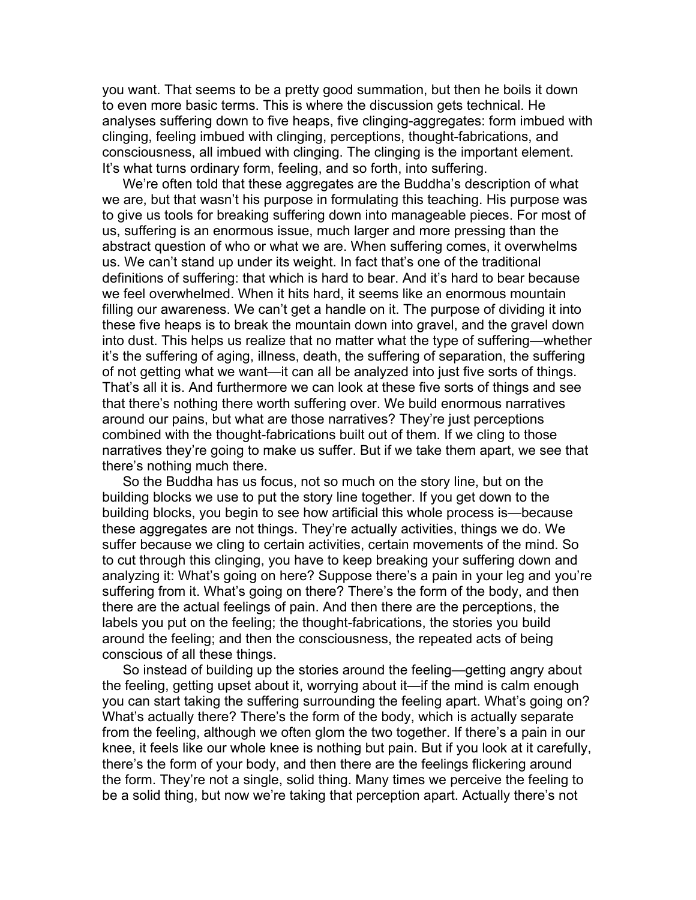you want. That seems to be a pretty good summation, but then he boils it down to even more basic terms. This is where the discussion gets technical. He analyses suffering down to five heaps, five clinging-aggregates: form imbued with clinging, feeling imbued with clinging, perceptions, thought-fabrications, and consciousness, all imbued with clinging. The clinging is the important element. It's what turns ordinary form, feeling, and so forth, into suffering.

We're often told that these aggregates are the Buddha's description of what we are, but that wasn't his purpose in formulating this teaching. His purpose was to give us tools for breaking suffering down into manageable pieces. For most of us, suffering is an enormous issue, much larger and more pressing than the abstract question of who or what we are. When suffering comes, it overwhelms us. We can't stand up under its weight. In fact that's one of the traditional definitions of suffering: that which is hard to bear. And it's hard to bear because we feel overwhelmed. When it hits hard, it seems like an enormous mountain filling our awareness. We can't get a handle on it. The purpose of dividing it into these five heaps is to break the mountain down into gravel, and the gravel down into dust. This helps us realize that no matter what the type of suffering—whether it's the suffering of aging, illness, death, the suffering of separation, the suffering of not getting what we want—it can all be analyzed into just five sorts of things. That's all it is. And furthermore we can look at these five sorts of things and see that there's nothing there worth suffering over. We build enormous narratives around our pains, but what are those narratives? They're just perceptions combined with the thought-fabrications built out of them. If we cling to those narratives they're going to make us suffer. But if we take them apart, we see that there's nothing much there.

So the Buddha has us focus, not so much on the story line, but on the building blocks we use to put the story line together. If you get down to the building blocks, you begin to see how artificial this whole process is—because these aggregates are not things. They're actually activities, things we do. We suffer because we cling to certain activities, certain movements of the mind. So to cut through this clinging, you have to keep breaking your suffering down and analyzing it: What's going on here? Suppose there's a pain in your leg and you're suffering from it. What's going on there? There's the form of the body, and then there are the actual feelings of pain. And then there are the perceptions, the labels you put on the feeling; the thought-fabrications, the stories you build around the feeling; and then the consciousness, the repeated acts of being conscious of all these things.

So instead of building up the stories around the feeling—getting angry about the feeling, getting upset about it, worrying about it—if the mind is calm enough you can start taking the suffering surrounding the feeling apart. What's going on? What's actually there? There's the form of the body, which is actually separate from the feeling, although we often glom the two together. If there's a pain in our knee, it feels like our whole knee is nothing but pain. But if you look at it carefully, there's the form of your body, and then there are the feelings flickering around the form. They're not a single, solid thing. Many times we perceive the feeling to be a solid thing, but now we're taking that perception apart. Actually there's not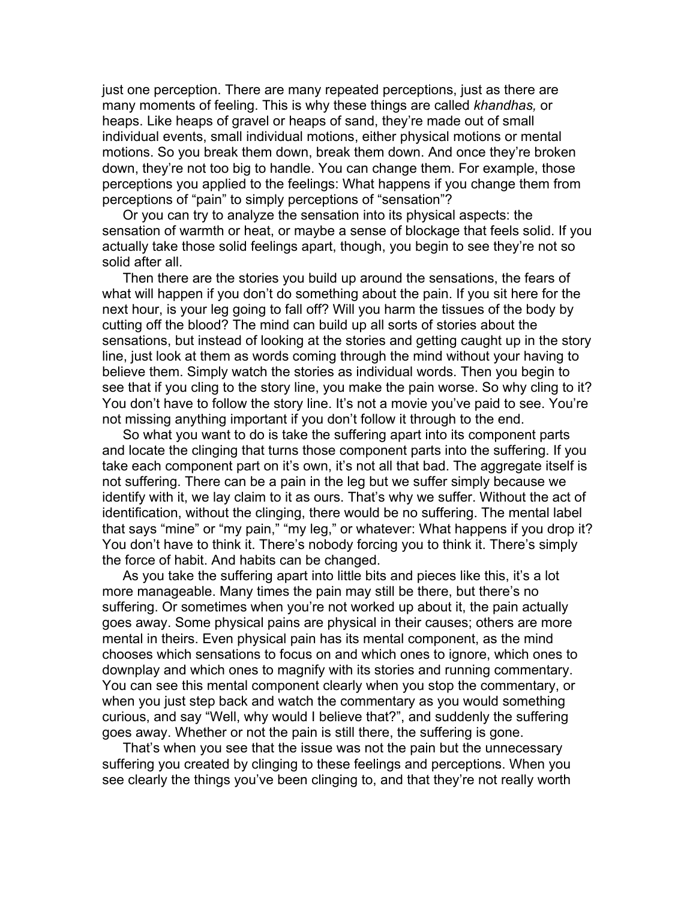just one perception. There are many repeated perceptions, just as there are many moments of feeling. This is why these things are called *khandhas,* or heaps. Like heaps of gravel or heaps of sand, they're made out of small individual events, small individual motions, either physical motions or mental motions. So you break them down, break them down. And once they're broken down, they're not too big to handle. You can change them. For example, those perceptions you applied to the feelings: What happens if you change them from perceptions of "pain" to simply perceptions of "sensation"?

Or you can try to analyze the sensation into its physical aspects: the sensation of warmth or heat, or maybe a sense of blockage that feels solid. If you actually take those solid feelings apart, though, you begin to see they're not so solid after all.

Then there are the stories you build up around the sensations, the fears of what will happen if you don't do something about the pain. If you sit here for the next hour, is your leg going to fall off? Will you harm the tissues of the body by cutting off the blood? The mind can build up all sorts of stories about the sensations, but instead of looking at the stories and getting caught up in the story line, just look at them as words coming through the mind without your having to believe them. Simply watch the stories as individual words. Then you begin to see that if you cling to the story line, you make the pain worse. So why cling to it? You don't have to follow the story line. It's not a movie you've paid to see. You're not missing anything important if you don't follow it through to the end.

So what you want to do is take the suffering apart into its component parts and locate the clinging that turns those component parts into the suffering. If you take each component part on it's own, it's not all that bad. The aggregate itself is not suffering. There can be a pain in the leg but we suffer simply because we identify with it, we lay claim to it as ours. That's why we suffer. Without the act of identification, without the clinging, there would be no suffering. The mental label that says "mine" or "my pain," "my leg," or whatever: What happens if you drop it? You don't have to think it. There's nobody forcing you to think it. There's simply the force of habit. And habits can be changed.

As you take the suffering apart into little bits and pieces like this, it's a lot more manageable. Many times the pain may still be there, but there's no suffering. Or sometimes when you're not worked up about it, the pain actually goes away. Some physical pains are physical in their causes; others are more mental in theirs. Even physical pain has its mental component, as the mind chooses which sensations to focus on and which ones to ignore, which ones to downplay and which ones to magnify with its stories and running commentary. You can see this mental component clearly when you stop the commentary, or when you just step back and watch the commentary as you would something curious, and say "Well, why would I believe that?", and suddenly the suffering goes away. Whether or not the pain is still there, the suffering is gone.

That's when you see that the issue was not the pain but the unnecessary suffering you created by clinging to these feelings and perceptions. When you see clearly the things you've been clinging to, and that they're not really worth